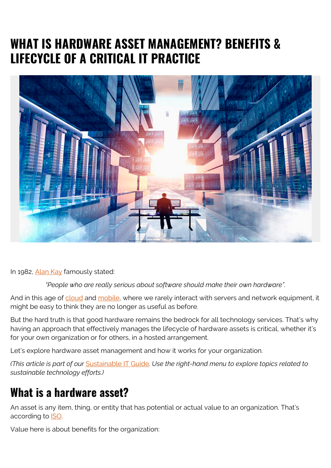# **WHAT IS HARDWARE ASSET MANAGEMENT? BENEFITS & LIFECYCLE OF A CRITICAL IT PRACTICE**



In 1982, [Alan Kay](https://www.azquotes.com/author/7790-Alan_Kay) famously stated:

*"People who are really serious about software should make their own hardware".*

And in this age of [cloud](https://blogs.bmc.com/blogs/public-private-hybrid-cloud/) and [mobile](https://blogs.bmc.com/blogs/enterprise-5g/), where we rarely interact with servers and network equipment, it might be easy to think they are no longer as useful as before.

But the hard truth is that good hardware remains the bedrock for all technology services. That's why having an approach that effectively manages the lifecycle of hardware assets is critical, whether it's for your own organization or for others, in a hosted arrangement.

Let's explore hardware asset management and how it works for your organization.

*(This article is part of our* [Sustainable IT Guide](https://blogs.bmc.com/blogs/sustainable-it/)*. Use the right-hand menu to explore topics related to sustainable technology efforts.)*

#### **What is a hardware asset?**

An asset is any item, thing, or entity that has potential or actual value to an organization. That's according to [ISO.](https://www.iso.org/obp/ui/#iso:std:iso:55000:ed-1:v2:en)

Value here is about benefits for the organization: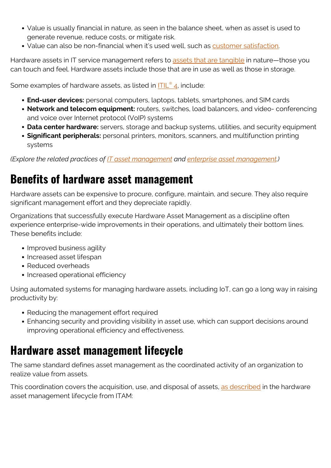- Value is usually financial in nature, as seen in the balance sheet, when as asset is used to generate revenue, reduce costs, or mitigate risk.
- Value can also be non-financial when it's used well, such as [customer satisfaction.](https://blogs.bmc.com/blogs/customer-satisfaction-csat-service-desk-metric/)

Hardware assets in IT service management refers to [assets that are tangible](https://blogs.bmc.com/blogs/what-is-it-infrastructure-and-what-are-its-components/) in nature—those you can touch and feel. Hardware assets include those that are in use as well as those in storage.

Some examples of hardware assets, as listed in **[ITIL](https://blogs.bmc.com/blogs/itil-4/)[®](https://blogs.bmc.com/blogs/itil-4/) [4](https://blogs.bmc.com/blogs/itil-4/)**, include:

- **End-user devices:** personal computers, laptops, tablets, smartphones, and SIM cards
- **Network and telecom equipment:** routers, switches, load balancers, and video- conferencing and voice over Internet protocol (VoIP) systems
- **Data center hardware:** servers, storage and backup systems, utilities, and security equipment
- **Significant peripherals:** personal printers, monitors, scanners, and multifunction printing systems

*(Explore the related practices of [IT asset management](https://blogs.bmc.com/blogs/it-asset-management/) and [enterprise asset management.](https://blogs.bmc.com/blogs/enterprise-asset-management/))*

#### **Benefits of hardware asset management**

Hardware assets can be expensive to procure, configure, maintain, and secure. They also require significant management effort and they depreciate rapidly.

Organizations that successfully execute Hardware Asset Management as a discipline often experience enterprise-wide improvements in their operations, and ultimately their bottom lines. These benefits include:

- Improved business agility
- Increased asset lifespan
- Reduced overheads
- Increased operational efficiency

Using automated systems for managing hardware assets, including IoT, can go a long way in raising productivity by:

- Reducing the management effort required
- Enhancing security and providing visibility in asset use, which can support decisions around improving operational efficiency and effectiveness.

### **Hardware asset management lifecycle**

The same standard defines asset management as the coordinated activity of an organization to realize value from assets.

This coordination covers the acquisition, use, and disposal of assets, [as described](https://www.itassetmanagement.net/2020/11/12/hardware-asset-management-takes-centre-stage/) in the hardware asset management lifecycle from ITAM: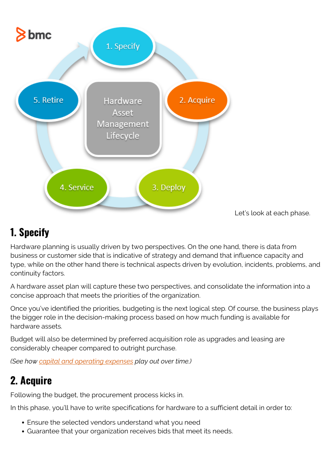

Let's look at each phase.

#### **1. Specify**

Hardware planning is usually driven by two perspectives. On the one hand, there is data from business or customer side that is indicative of strategy and demand that influence capacity and type, while on the other hand there is technical aspects driven by evolution, incidents, problems, and continuity factors.

A hardware asset plan will capture these two perspectives, and consolidate the information into a concise approach that meets the priorities of the organization.

Once you've identified the priorities, budgeting is the next logical step. Of course, the business plays the bigger role in the decision-making process based on how much funding is available for hardware assets.

Budget will also be determined by preferred acquisition role as upgrades and leasing are considerably cheaper compared to outright purchase.

*(See how [capital and operating expenses](https://blogs.bmc.com/blogs/capex-vs-opex/) play out over time.)*

### **2. Acquire**

Following the budget, the procurement process kicks in.

In this phase, you'll have to write specifications for hardware to a sufficient detail in order to:

- Ensure the selected vendors understand what you need
- Guarantee that your organization receives bids that meet its needs.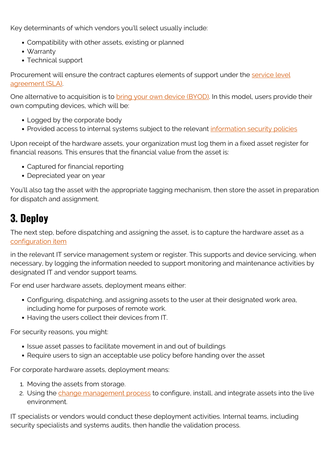Key determinants of which vendors you'll select usually include:

- Compatibility with other assets, existing or planned
- Warranty
- Technical support

Procurement will ensure the contract captures elements of support under the [service level](https://blogs.bmc.com/blogs/sla-template-examples/) [agreement \(SLA\).](https://blogs.bmc.com/blogs/sla-template-examples/)

One alternative to acquisition is to **bring your own device (BYOD)**. In this model, users provide their own computing devices, which will be:

- Logged by the corporate body
- Provided access to internal systems subject to the relevant [information security policies](https://blogs.bmc.com/blogs/it-security-policy/)

Upon receipt of the hardware assets, your organization must log them in a fixed asset register for financial reasons. This ensures that the financial value from the asset is:

- Captured for financial reporting
- Depreciated year on year

You'll also tag the asset with the appropriate tagging mechanism, then store the asset in preparation for dispatch and assignment.

#### **3. Deploy**

The next step, before dispatching and assigning the asset, is to capture the hardware asset as a [configuration item](https://blogs.bmc.com/blogs/asset-management-vs-configuration-management/)

in the relevant IT service management system or register. This supports and device servicing, when necessary, by logging the information needed to support monitoring and maintenance activities by designated IT and vendor support teams.

For end user hardware assets, deployment means either:

- Configuring, dispatching, and assigning assets to the user at their designated work area, including home for purposes of remote work.
- Having the users collect their devices from IT.

For security reasons, you might:

- Issue asset passes to facilitate movement in and out of buildings
- Require users to sign an acceptable use policy before handing over the asset

For corporate hardware assets, deployment means:

- 1. Moving the assets from storage.
- 2. Using the [change management process](https://blogs.bmc.com/blogs/types-levels-change-management/) to configure, install, and integrate assets into the live environment.

IT specialists or vendors would conduct these deployment activities. Internal teams, including security specialists and systems audits, then handle the validation process.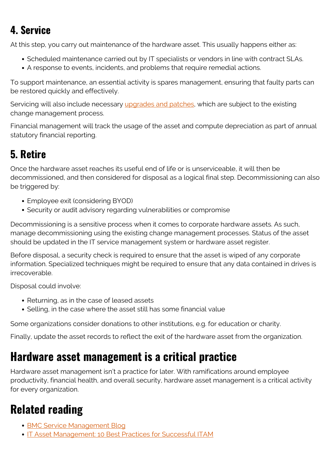### **4. Service**

At this step, you carry out maintenance of the hardware asset. This usually happens either as:

- Scheduled maintenance carried out by IT specialists or vendors in line with contract SLAs.
- A response to events, incidents, and problems that require remedial actions.

To support maintenance, an essential activity is spares management, ensuring that faulty parts can be restored quickly and effectively.

Servicing will also include necessary [upgrades and patches](https://blogs.bmc.com/blogs/patch-management/), which are subject to the existing change management process.

Financial management will track the usage of the asset and compute depreciation as part of annual statutory financial reporting.

## **5. Retire**

Once the hardware asset reaches its useful end of life or is unserviceable, it will then be decommissioned, and then considered for disposal as a logical final step. Decommissioning can also be triggered by:

- Employee exit (considering BYOD)
- Security or audit advisory regarding vulnerabilities or compromise

Decommissioning is a sensitive process when it comes to corporate hardware assets. As such, manage decommissioning using the existing change management processes. Status of the asset should be updated in the IT service management system or hardware asset register.

Before disposal, a security check is required to ensure that the asset is wiped of any corporate information. Specialized techniques might be required to ensure that any data contained in drives is irrecoverable.

Disposal could involve:

- Returning, as in the case of leased assets
- Selling, in the case where the asset still has some financial value

Some organizations consider donations to other institutions, e.g. for education or charity.

Finally, update the asset records to reflect the exit of the hardware asset from the organization.

# **Hardware asset management is a critical practice**

Hardware asset management isn't a practice for later. With ramifications around employee productivity, financial health, and overall security, hardware asset management is a critical activity for every organization.

# **Related reading**

- [BMC Service Management Blog](https://blogs.bmc.com/blogs/categories/itsm/)
- **[IT Asset Management: 10 Best Practices for Successful ITAM](https://blogs.bmc.com/blogs/it-asset-management-best-practices-top-ten/)**